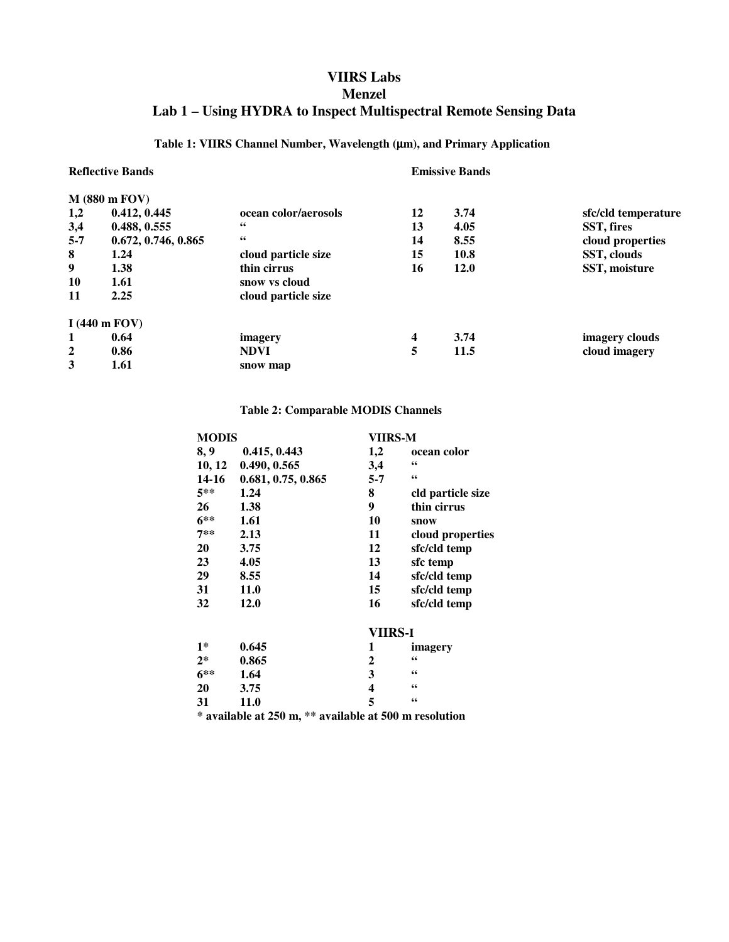## **VIIRS Labs Menzel Lab 1 – Using HYDRA to Inspect Multispectral Remote Sensing Data**

### **Table 1: VIIRS Channel Number, Wavelength (**µ**m), and Primary Application**

| <b>Reflective Bands</b> |                                 |                      | <b>Emissive Bands</b> |             |                     |  |  |  |
|-------------------------|---------------------------------|----------------------|-----------------------|-------------|---------------------|--|--|--|
| $M$ (880 m FOV)         |                                 |                      |                       |             |                     |  |  |  |
| 1,2                     | 0.412, 0.445                    | ocean color/aerosols | 12                    | 3.74        | sfc/cld temperature |  |  |  |
| 3,4                     | 0.488, 0.555                    | 66                   | 13                    | 4.05        | SST, fires          |  |  |  |
| $5 - 7$                 | 0.672, 0.746, 0.865             | 66                   | 14                    | 8.55        | cloud properties    |  |  |  |
| 8                       | 1.24                            | cloud particle size  | 15                    | 10.8        | SST, clouds         |  |  |  |
| 9                       | 1.38                            | thin cirrus          | 16                    | <b>12.0</b> | SST, moisture       |  |  |  |
| 10                      | 1.61                            | snow vs cloud        |                       |             |                     |  |  |  |
| 11                      | 2.25                            | cloud particle size  |                       |             |                     |  |  |  |
|                         | I $(440 \text{ m} \text{ FOV})$ |                      |                       |             |                     |  |  |  |
| 1                       | 0.64                            | imagery              | 4                     | 3.74        | imagery clouds      |  |  |  |
| 2                       | 0.86                            | <b>NDVI</b>          | 5                     | 11.5        | cloud imagery       |  |  |  |
| 3                       | 1.61                            | snow map             |                       |             |                     |  |  |  |

#### **Table 2: Comparable MODIS Channels**

|        | <b>MODIS</b>                                           |                    | VIIRS-M                 |                                          |  |  |  |
|--------|--------------------------------------------------------|--------------------|-------------------------|------------------------------------------|--|--|--|
| 8, 9   |                                                        | 0.415, 0.443       | 1,2                     | ocean color                              |  |  |  |
|        | 10, 12                                                 | 0.490, 0.565       | 3,4                     | $\mathbf{66}$                            |  |  |  |
|        | 14-16                                                  | 0.681, 0.75, 0.865 | $5 - 7$                 | $\textbf{\textit{G}}\textbf{\textit{G}}$ |  |  |  |
| $5**$  |                                                        | 1.24               | 8                       | cld particle size                        |  |  |  |
| 26     |                                                        | 1.38               | 9                       | thin cirrus                              |  |  |  |
| $6***$ |                                                        | 1.61               | 10                      | snow                                     |  |  |  |
| $7**$  |                                                        | 2.13               | 11                      | cloud properties                         |  |  |  |
| 20     |                                                        | 3.75               | 12                      | sfc/cld temp                             |  |  |  |
| 23     |                                                        | 4.05               | 13                      | sfc temp                                 |  |  |  |
| 29     |                                                        | 8.55               | 14                      | sfc/cld temp                             |  |  |  |
| 31     |                                                        | <b>11.0</b>        | 15                      | sfc/cld temp                             |  |  |  |
| 32     |                                                        | <b>12.0</b>        | 16                      | sfc/cld temp                             |  |  |  |
|        |                                                        |                    | <b>VIIRS-I</b>          |                                          |  |  |  |
| $1*$   |                                                        | 0.645              | 1                       | imagery                                  |  |  |  |
| $2^*$  |                                                        | 0.865              | $\mathbf{2}$            | 66                                       |  |  |  |
| $6**$  |                                                        | 1.64               | 3                       | 66                                       |  |  |  |
| 20     |                                                        | 3.75               | $\overline{\mathbf{4}}$ | 66                                       |  |  |  |
| 31     |                                                        | <b>11.0</b>        | 5                       | $\epsilon\epsilon$                       |  |  |  |
|        | * available at 250 m, ** available at 500 m resolution |                    |                         |                                          |  |  |  |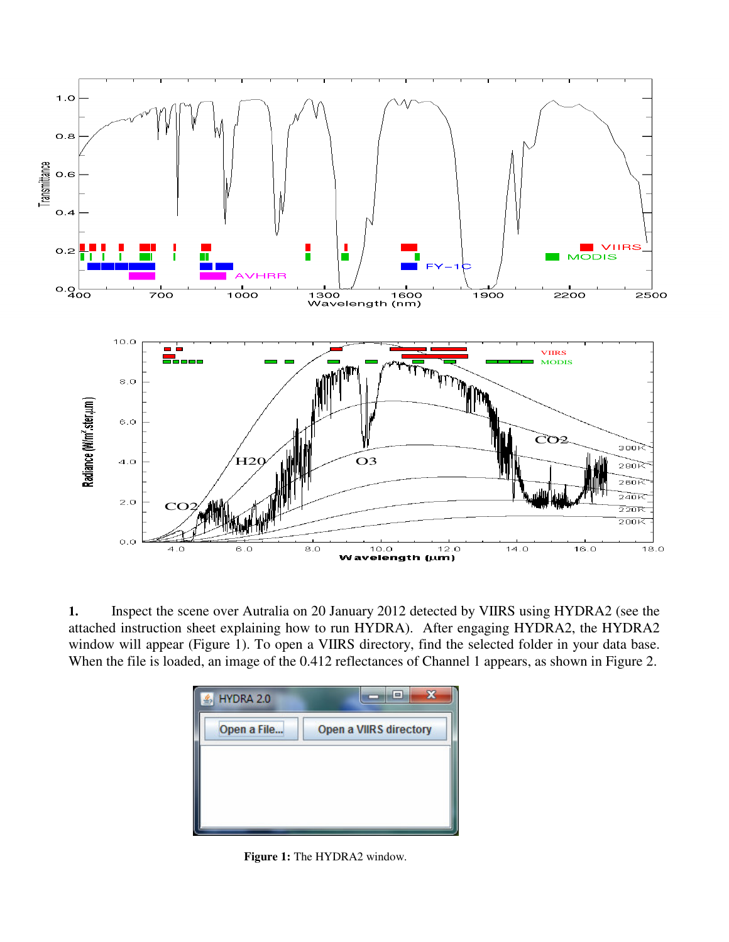

**1.** Inspect the scene over Autralia on 20 January 2012 detected by VIIRS using HYDRA2 (see the attached instruction sheet explaining how to run HYDRA). After engaging HYDRA2, the HYDRA2 window will appear (Figure 1). To open a VIIRS directory, find the selected folder in your data base. When the file is loaded, an image of the 0.412 reflectances of Channel 1 appears, as shown in Figure 2.



**Figure 1:** The HYDRA2 window.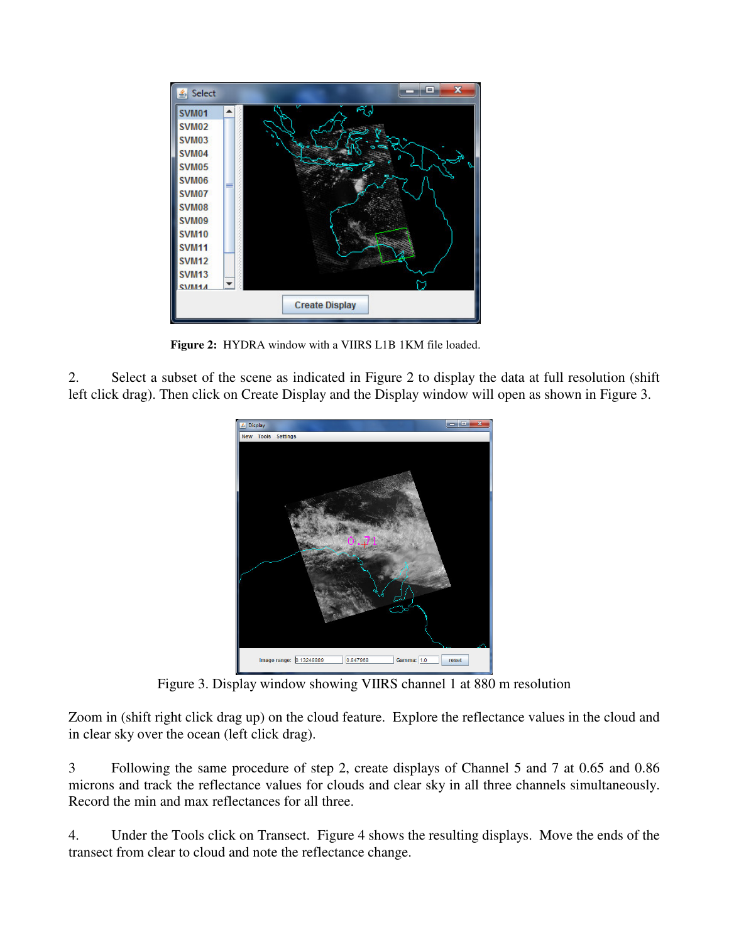

**Figure 2:** HYDRA window with a VIIRS L1B 1KM file loaded.

2. Select a subset of the scene as indicated in Figure 2 to display the data at full resolution (shift left click drag). Then click on Create Display and the Display window will open as shown in Figure 3.



Figure 3. Display window showing VIIRS channel 1 at 880 m resolution

Zoom in (shift right click drag up) on the cloud feature. Explore the reflectance values in the cloud and in clear sky over the ocean (left click drag).

3 Following the same procedure of step 2, create displays of Channel 5 and 7 at 0.65 and 0.86 microns and track the reflectance values for clouds and clear sky in all three channels simultaneously. Record the min and max reflectances for all three.

4. Under the Tools click on Transect. Figure 4 shows the resulting displays. Move the ends of the transect from clear to cloud and note the reflectance change.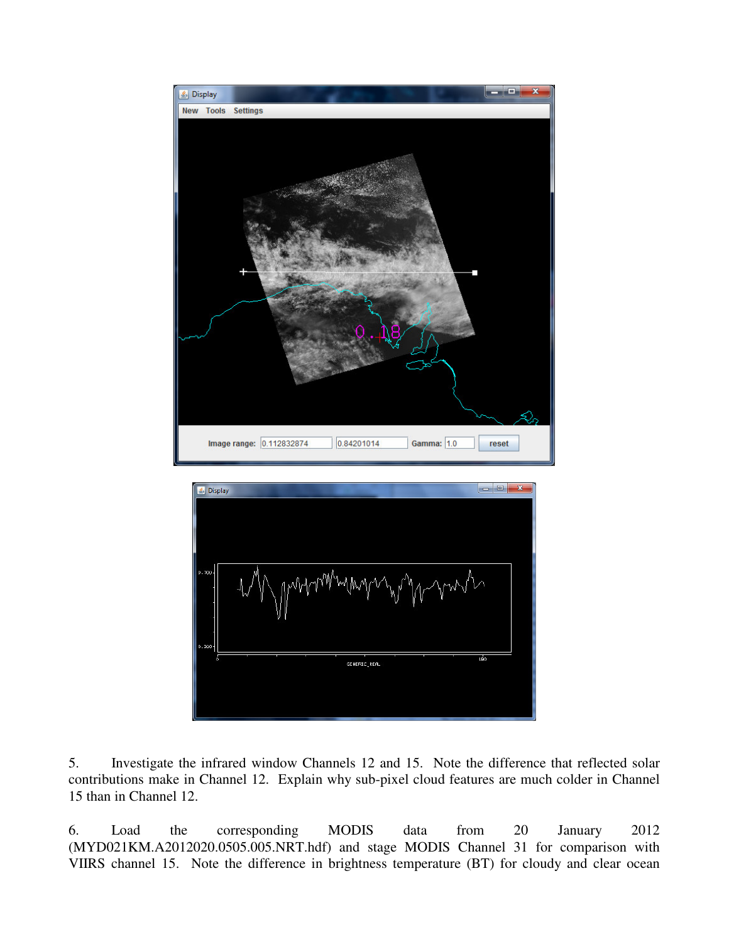



5. Investigate the infrared window Channels 12 and 15. Note the difference that reflected solar contributions make in Channel 12. Explain why sub-pixel cloud features are much colder in Channel 15 than in Channel 12.

6. Load the corresponding MODIS data from 20 January 2012 (MYD021KM.A2012020.0505.005.NRT.hdf) and stage MODIS Channel 31 for comparison with VIIRS channel 15. Note the difference in brightness temperature (BT) for cloudy and clear ocean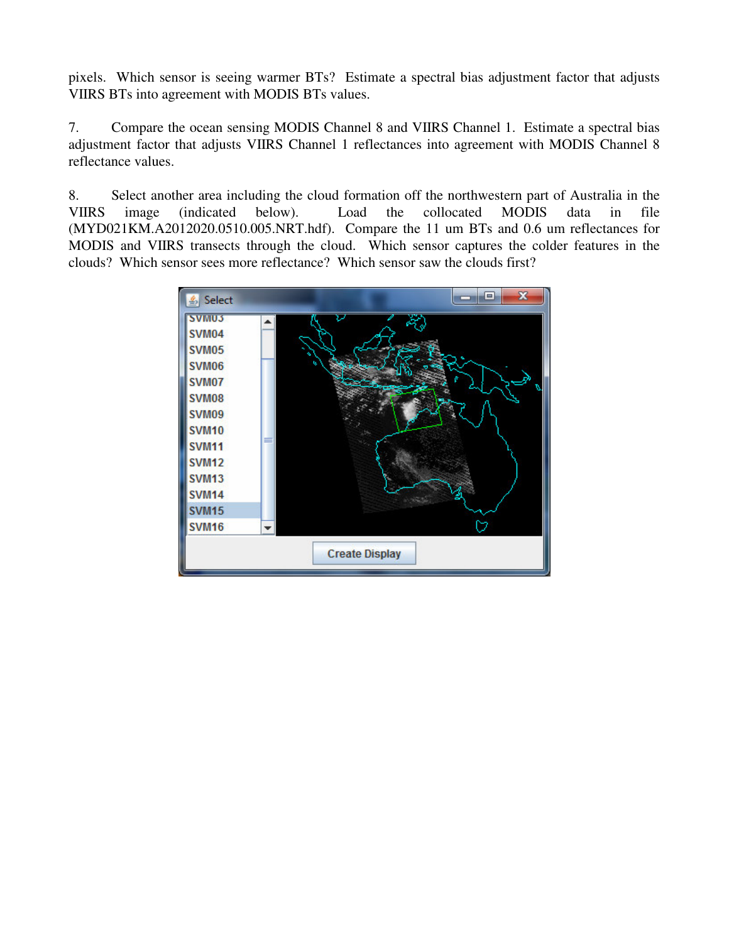pixels. Which sensor is seeing warmer BTs? Estimate a spectral bias adjustment factor that adjusts VIIRS BTs into agreement with MODIS BTs values.

7. Compare the ocean sensing MODIS Channel 8 and VIIRS Channel 1. Estimate a spectral bias adjustment factor that adjusts VIIRS Channel 1 reflectances into agreement with MODIS Channel 8 reflectance values.

8. Select another area including the cloud formation off the northwestern part of Australia in the VIIRS image (indicated below). Load the collocated MODIS data in file (MYD021KM.A2012020.0510.005.NRT.hdf). Compare the 11 um BTs and 0.6 um reflectances for MODIS and VIIRS transects through the cloud. Which sensor captures the colder features in the clouds? Which sensor sees more reflectance? Which sensor saw the clouds first?